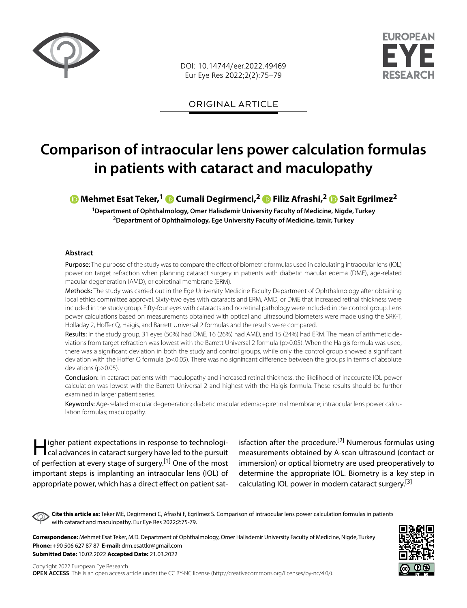

DOI: 10.14744/eer.2022.49469 Eur Eye Res 2022;2(2):75–79



ORIGINAL ARTICLE

# **Comparison of intraocular lens power calculation formulas in patients with cataract and maculopathy**

## **Mehmet Esat Teker,1 Cumali Degirmenci,2Filiz Afrashi,2Sait Egrilmez2**

**1Department of Ophthalmology, Omer Halisdemir University Faculty of Medicine, Nigde, Turkey 2Department of Ophthalmology, Ege University Faculty of Medicine, Izmir, Turkey**

#### **Abstract**

Purpose: The purpose of the study was to compare the effect of biometric formulas used in calculating intraocular lens (IOL) power on target refraction when planning cataract surgery in patients with diabetic macular edema (DME), age-related macular degeneration (AMD), or epiretinal membrane (ERM).

Methods: The study was carried out in the Ege University Medicine Faculty Department of Ophthalmology after obtaining local ethics committee approval. Sixty-two eyes with cataracts and ERM, AMD, or DME that increased retinal thickness were included in the study group. Fifty-four eyes with cataracts and no retinal pathology were included in the control group. Lens power calculations based on measurements obtained with optical and ultrasound biometers were made using the SRK-T, Holladay 2, Hoffer Q, Haigis, and Barrett Universal 2 formulas and the results were compared.

Results: In the study group, 31 eyes (50%) had DME, 16 (26%) had AMD, and 15 (24%) had ERM. The mean of arithmetic deviations from target refraction was lowest with the Barrett Universal 2 formula (p>0.05). When the Haigis formula was used, there was a significant deviation in both the study and control groups, while only the control group showed a significant deviation with the Hoffer Q formula (p<0.05). There was no significant difference between the groups in terms of absolute deviations (p>0.05).

Conclusion: In cataract patients with maculopathy and increased retinal thickness, the likelihood of inaccurate IOL power calculation was lowest with the Barrett Universal 2 and highest with the Haigis formula. These results should be further examined in larger patient series.

Keywords: Age-related macular degeneration; diabetic macular edema; epiretinal membrane; intraocular lens power calculation formulas; maculopathy.

Higher patient expectations in response to technologi-cal advances in cataract surgery have led to the pursuit of perfection at every stage of surgery.<sup>[1]</sup> One of the most important steps is implanting an intraocular lens (IOL) of appropriate power, which has a direct effect on patient satisfaction after the procedure.<sup>[2]</sup> Numerous formulas using measurements obtained by A-scan ultrasound (contact or immersion) or optical biometry are used preoperatively to determine the appropriate IOL. Biometry is a key step in calculating IOL power in modern cataract surgery.<sup>[3]</sup>

**Cite this article as:** Teker ME, Degirmenci C, Afrashi F, Egrilmez S. Comparison of intraocular lens power calculation formulas in patients with cataract and maculopathy. Eur Eye Res 2022;2:75-79.

**Correspondence:** Mehmet Esat Teker, M.D. Department of Ophthalmology, Omer Halisdemir University Faculty of Medicine, Nigde, Turkey **Phone:** +90 506 627 87 87 **E-mail:** drm.esattkr@gmail.com **Submitted Date:** 10.02.2022 **Accepted Date:** 21.03.2022

Copyright 2022 European Eye Research **OPEN ACCESS** This is an open access article under the CC BY-NC license (http://creativecommons.org/licenses/by-nc/4.0/).

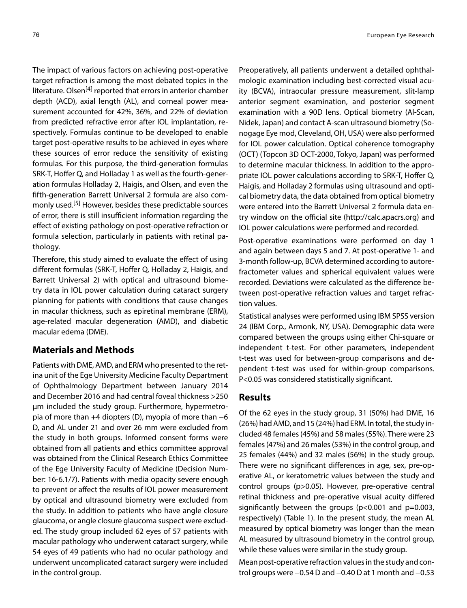The impact of various factors on achieving post-operative target refraction is among the most debated topics in the literature. Olsen<sup>[4]</sup> reported that errors in anterior chamber depth (ACD), axial length (AL), and corneal power measurement accounted for 42%, 36%, and 22% of deviation from predicted refractive error after IOL implantation, respectively. Formulas continue to be developed to enable target post-operative results to be achieved in eyes where these sources of error reduce the sensitivity of existing formulas. For this purpose, the third-generation formulas SRK-T, Hoffer Q, and Holladay 1 as well as the fourth-generation formulas Holladay 2, Haigis, and Olsen, and even the fifth-generation Barrett Universal 2 formula are also commonly used.<sup>[5]</sup> However, besides these predictable sources of error, there is still insufficient information regarding the effect of existing pathology on post-operative refraction or formula selection, particularly in patients with retinal pathology.

Therefore, this study aimed to evaluate the effect of using different formulas (SRK-T, Hoffer Q, Holladay 2, Haigis, and Barrett Universal 2) with optical and ultrasound biometry data in IOL power calculation during cataract surgery planning for patients with conditions that cause changes in macular thickness, such as epiretinal membrane (ERM), age-related macular degeneration (AMD), and diabetic macular edema (DME).

## **Materials and Methods**

Patients with DME, AMD, and ERM who presented to the retina unit of the Ege University Medicine Faculty Department of Ophthalmology Department between January 2014 and December 2016 and had central foveal thickness >250 μm included the study group. Furthermore, hypermetropia of more than +4 diopters (D), myopia of more than −6 D, and AL under 21 and over 26 mm were excluded from the study in both groups. Informed consent forms were obtained from all patients and ethics committee approval was obtained from the Clinical Research Ethics Committee of the Ege University Faculty of Medicine (Decision Number: 16-6.1/7). Patients with media opacity severe enough to prevent or affect the results of IOL power measurement by optical and ultrasound biometry were excluded from the study. In addition to patients who have angle closure glaucoma, or angle closure glaucoma suspect were excluded. The study group included 62 eyes of 57 patients with macular pathology who underwent cataract surgery, while 54 eyes of 49 patients who had no ocular pathology and underwent uncomplicated cataract surgery were included in the control group.

Preoperatively, all patients underwent a detailed ophthalmologic examination including best-corrected visual acuity (BCVA), intraocular pressure measurement, slit-lamp anterior segment examination, and posterior segment examination with a 90D lens. Optical biometry (Al-Scan, Nidek, Japan) and contact A-scan ultrasound biometry (Sonogage Eye mod, Cleveland, OH, USA) were also performed for IOL power calculation. Optical coherence tomography (OCT) (Topcon 3D OCT-2000, Tokyo, Japan) was performed to determine macular thickness. In addition to the appropriate IOL power calculations according to SRK-T, Hoffer Q, Haigis, and Holladay 2 formulas using ultrasound and optical biometry data, the data obtained from optical biometry were entered into the Barrett Universal 2 formula data entry window on the official site (http://calc.apacrs.org) and IOL power calculations were performed and recorded.

Post-operative examinations were performed on day 1 and again between days 5 and 7. At post-operative 1- and 3-month follow-up, BCVA determined according to autorefractometer values and spherical equivalent values were recorded. Deviations were calculated as the difference between post-operative refraction values and target refraction values.

Statistical analyses were performed using IBM SPSS version 24 (IBM Corp., Armonk, NY, USA). Demographic data were compared between the groups using either Chi-square or independent t-test. For other parameters, independent t-test was used for between-group comparisons and dependent t-test was used for within-group comparisons. P<0.05 was considered statistically significant.

#### **Results**

Of the 62 eyes in the study group, 31 (50%) had DME, 16 (26%) had AMD, and 15 (24%) had ERM. In total, the study included 48 females (45%) and 58 males (55%). There were 23 females (47%) and 26 males (53%) in the control group, and 25 females (44%) and 32 males (56%) in the study group. There were no significant differences in age, sex, pre-operative AL, or keratometric values between the study and control groups (p>0.05). However, pre-operative central retinal thickness and pre-operative visual acuity differed significantly between the groups (p<0.001 and p=0.003, respectively) (Table 1). In the present study, the mean AL measured by optical biometry was longer than the mean AL measured by ultrasound biometry in the control group, while these values were similar in the study group.

Mean post-operative refraction values in the study and control groups were −0.54 D and −0.40 D at 1 month and −0.53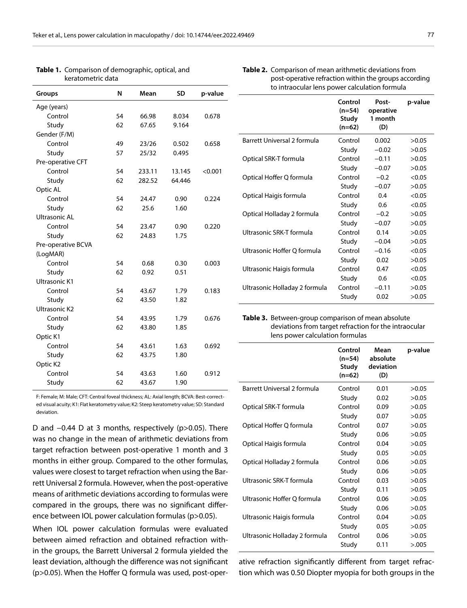| Groups               | N  | Mean   | <b>SD</b> | p-value |
|----------------------|----|--------|-----------|---------|
|                      |    |        |           |         |
| Age (years)          |    |        |           |         |
| Control              | 54 | 66.98  | 8.034     | 0.678   |
| Study                | 62 | 67.65  | 9.164     |         |
| Gender (F/M)         |    |        |           |         |
| Control              | 49 | 23/26  | 0.502     | 0.658   |
| Study                | 57 | 25/32  | 0.495     |         |
| Pre-operative CFT    |    |        |           |         |
| Control              | 54 | 233.11 | 13.145    | < 0.001 |
| Study                | 62 | 282.52 | 64.446    |         |
| Optic AL             |    |        |           |         |
| Control              | 54 | 24.47  | 0.90      | 0.224   |
| Study                | 62 | 25.6   | 1.60      |         |
| Ultrasonic AL        |    |        |           |         |
| Control              | 54 | 23.47  | 0.90      | 0.220   |
| Study                | 62 | 24.83  | 1.75      |         |
| Pre-operative BCVA   |    |        |           |         |
| (LogMAR)             |    |        |           |         |
| Control              | 54 | 0.68   | 0.30      | 0.003   |
| Study                | 62 | 0.92   | 0.51      |         |
| Ultrasonic K1        |    |        |           |         |
| Control              | 54 | 43.67  | 1.79      | 0.183   |
| Study                | 62 | 43.50  | 1.82      |         |
| <b>Ultrasonic K2</b> |    |        |           |         |
| Control              | 54 | 43.95  | 1.79      | 0.676   |
| Study                | 62 | 43.80  | 1.85      |         |
| Optic K1             |    |        |           |         |
| Control              | 54 | 43.61  | 1.63      | 0.692   |
| Study                | 62 | 43.75  | 1.80      |         |
| Optic K2             |    |        |           |         |
| Control              | 54 | 43.63  | 1.60      | 0.912   |
| Study                | 62 | 43.67  | 1.90      |         |
|                      |    |        |           |         |

**Table 1.** Comparison of demographic, optical, and keratometric data

**Table 2.** Comparison of mean arithmetic deviations from post-operative refraction within the groups according to intraocular lens power calculation formula

|                               | Control<br>$(n=54)$<br>Study<br>$(n=62)$ | Post-<br>operative<br>1 month<br>(D) | p-value |
|-------------------------------|------------------------------------------|--------------------------------------|---------|
| Barrett Universal 2 formula   | Control                                  | 0.002                                | >0.05   |
|                               | Study                                    | $-0.02$                              | >0.05   |
| Optical SRK-T formula         | Control                                  | $-0.11$                              | >0.05   |
|                               | Study                                    | $-0.07$                              | >0.05   |
| Optical Hoffer Q formula      | Control                                  | $-0.2$                               | < 0.05  |
|                               | Study                                    | $-0.07$                              | >0.05   |
| Optical Haigis formula        | Control                                  | 0.4                                  | < 0.05  |
|                               | Study                                    | 0.6                                  | < 0.05  |
| Optical Holladay 2 formula    | Control                                  | $-0.2$                               | >0.05   |
|                               | Study                                    | $-0.07$                              | >0.05   |
| Ultrasonic SRK-T formula      | Control                                  | 0.14                                 | >0.05   |
|                               | Study                                    | $-0.04$                              | >0.05   |
| Ultrasonic Hoffer Q formula   | Control                                  | $-0.16$                              | < 0.05  |
|                               | Study                                    | 0.02                                 | >0.05   |
| Ultrasonic Haigis formula     | Control                                  | 0.47                                 | < 0.05  |
|                               | Study                                    | 0.6                                  | < 0.05  |
| Ultrasonic Holladay 2 formula | Control                                  | $-0.11$                              | >0.05   |
|                               | Study                                    | 0.02                                 | >0.05   |
|                               |                                          |                                      |         |

**Table 3.** Between-group comparison of mean absolute deviations from target refraction for the intraocular lens power calculation formulas

|                               | Control<br>$(n=54)$<br>Study<br>$(n=62)$ | Mean<br>absolute<br>deviation<br>(D) | p-value |
|-------------------------------|------------------------------------------|--------------------------------------|---------|
| Barrett Universal 2 formula   | Control                                  | 0.01                                 | >0.05   |
|                               | Study                                    | 0.02                                 | >0.05   |
| Optical SRK-T formula         | Control                                  | 0.09                                 | >0.05   |
|                               | Study                                    | 0.07                                 | >0.05   |
| Optical Hoffer Q formula      | Control                                  | 0.07                                 | >0.05   |
|                               | Study                                    | 0.06                                 | >0.05   |
| Optical Haigis formula        | Control                                  | 0.04                                 | >0.05   |
|                               | Study                                    | 0.05                                 | >0.05   |
| Optical Holladay 2 formula    | Control                                  | 0.06                                 | >0.05   |
|                               | Study                                    | 0.06                                 | >0.05   |
| Ultrasonic SRK-T formula      | Control                                  | 0.03                                 | >0.05   |
|                               | Study                                    | 0.11                                 | >0.05   |
| Ultrasonic Hoffer Q formula   | Control                                  | 0.06                                 | >0.05   |
|                               | Study                                    | 0.06                                 | >0.05   |
| Ultrasonic Haigis formula     | Control                                  | 0.04                                 | >0.05   |
|                               | Study                                    | 0.05                                 | >0.05   |
| Ultrasonic Holladay 2 formula | Control                                  | 0.06                                 | >0.05   |
|                               | Study                                    | 0.11                                 | > 0.005 |

ative refraction significantly different from target refraction which was 0.50 Diopter myopia for both groups in the

F: Female; M: Male; CFT: Central foveal thickness; AL: Axial length; BCVA: Best-corrected visual acuity; K1: Flat keratometry value; K2: Steep keratometry value; SD: Standard deviation.

D and −0.44 D at 3 months, respectively (p>0.05). There was no change in the mean of arithmetic deviations from target refraction between post-operative 1 month and 3 months in either group. Compared to the other formulas, values were closest to target refraction when using the Barrett Universal 2 formula. However, when the post-operative means of arithmetic deviations according to formulas were compared in the groups, there was no significant difference between IOL power calculation formulas (p>0.05).

When IOL power calculation formulas were evaluated between aimed refraction and obtained refraction within the groups, the Barrett Universal 2 formula yielded the least deviation, although the difference was not significant (p>0.05). When the Hoffer Q formula was used, post-oper-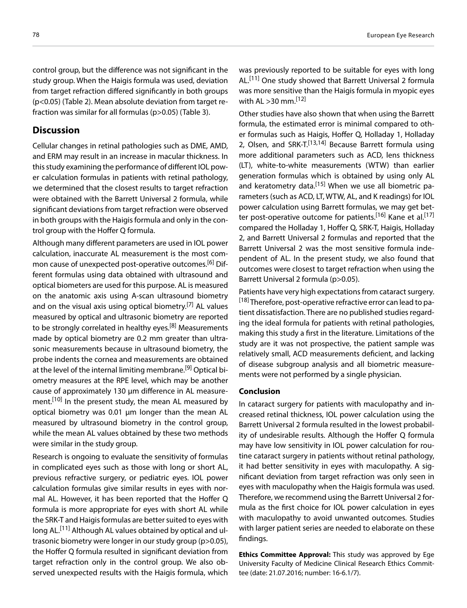control group, but the difference was not significant in the study group. When the Haigis formula was used, deviation from target refraction differed significantly in both groups (p<0.05) (Table 2). Mean absolute deviation from target refraction was similar for all formulas (p>0.05) (Table 3).

#### **Discussion**

Cellular changes in retinal pathologies such as DME, AMD, and ERM may result in an increase in macular thickness. In this study examining the performance of different IOL power calculation formulas in patients with retinal pathology, we determined that the closest results to target refraction were obtained with the Barrett Universal 2 formula, while significant deviations from target refraction were observed in both groups with the Haigis formula and only in the control group with the Hoffer Q formula.

Although many different parameters are used in IOL power calculation, inaccurate AL measurement is the most common cause of unexpected post-operative outcomes.<sup>[6]</sup> Different formulas using data obtained with ultrasound and optical biometers are used for this purpose. AL is measured on the anatomic axis using A-scan ultrasound biometry and on the visual axis using optical biometry.<sup>[7]</sup> AL values measured by optical and ultrasonic biometry are reported to be strongly correlated in healthy eyes.<sup>[8]</sup> Measurements made by optical biometry are 0.2 mm greater than ultrasonic measurements because in ultrasound biometry, the probe indents the cornea and measurements are obtained at the level of the internal limiting membrane.<sup>[9]</sup> Optical biometry measures at the RPE level, which may be another cause of approximately 130 µm difference in AL measurement.<sup>[10]</sup> In the present study, the mean AL measured by optical biometry was 0.01 µm longer than the mean AL measured by ultrasound biometry in the control group, while the mean AL values obtained by these two methods were similar in the study group.

Research is ongoing to evaluate the sensitivity of formulas in complicated eyes such as those with long or short AL, previous refractive surgery, or pediatric eyes. IOL power calculation formulas give similar results in eyes with normal AL. However, it has been reported that the Hoffer Q formula is more appropriate for eyes with short AL while the SRK-T and Haigis formulas are better suited to eyes with long AL.<sup>[11]</sup> Although AL values obtained by optical and ultrasonic biometry were longer in our study group (p>0.05), the Hoffer Q formula resulted in significant deviation from target refraction only in the control group. We also observed unexpected results with the Haigis formula, which

was previously reported to be suitable for eyes with long AL.[11] One study showed that Barrett Universal 2 formula was more sensitive than the Haigis formula in myopic eyes with AL  $>$ 30 mm.<sup>[12]</sup>

Other studies have also shown that when using the Barrett formula, the estimated error is minimal compared to other formulas such as Haigis, Hoffer Q, Holladay 1, Holladay 2, Olsen, and SRK-T.<sup>[13,14]</sup> Because Barrett formula using more additional parameters such as ACD, lens thickness (LT), white-to-white measurements (WTW) than earlier generation formulas which is obtained by using only AL and keratometry data.<sup>[15]</sup> When we use all biometric parameters (such as ACD, LT, WTW, AL, and K readings) for IOL power calculation using Barrett formulas, we may get better post-operative outcome for patients.<sup>[16]</sup> Kane et al.<sup>[17]</sup> compared the Holladay 1, Hoffer Q, SRK-T, Haigis, Holladay 2, and Barrett Universal 2 formulas and reported that the Barrett Universal 2 was the most sensitive formula independent of AL. In the present study, we also found that outcomes were closest to target refraction when using the Barrett Universal 2 formula (p>0.05).

Patients have very high expectations from cataract surgery. [18] Therefore, post-operative refractive error can lead to patient dissatisfaction. There are no published studies regarding the ideal formula for patients with retinal pathologies, making this study a first in the literature. Limitations of the study are it was not prospective, the patient sample was relatively small, ACD measurements deficient, and lacking of disease subgroup analysis and all biometric measurements were not performed by a single physician.

#### **Conclusion**

In cataract surgery for patients with maculopathy and increased retinal thickness, IOL power calculation using the Barrett Universal 2 formula resulted in the lowest probability of undesirable results. Although the Hoffer Q formula may have low sensitivity in IOL power calculation for routine cataract surgery in patients without retinal pathology, it had better sensitivity in eyes with maculopathy. A significant deviation from target refraction was only seen in eyes with maculopathy when the Haigis formula was used. Therefore, we recommend using the Barrett Universal 2 formula as the first choice for IOL power calculation in eyes with maculopathy to avoid unwanted outcomes. Studies with larger patient series are needed to elaborate on these findings.

**Ethics Committee Approval:** This study was approved by Ege University Faculty of Medicine Clinical Research Ethics Committee (date: 21.07.2016; number: 16-6.1/7).